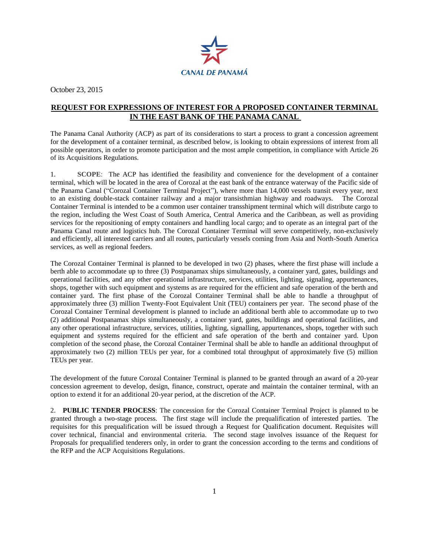

October 23, 2015

## **REQUEST FOR EXPRESSIONS OF INTEREST FOR A PROPOSED CONTAINER TERMINAL IN THE EAST BANK OF THE PANAMA CANAL**

The Panama Canal Authority (ACP) as part of its considerations to start a process to grant a concession agreement for the development of a container terminal, as described below, is looking to obtain expressions of interest from all possible operators, in order to promote participation and the most ample competition, in compliance with Article 26 of its Acquisitions Regulations.

1. **SCOPE**: The ACP has identified the feasibility and convenience for the development of a container terminal, which will be located in the area of Corozal at the east bank of the entrance waterway of the Pacific side of the Panama Canal ("Corozal Container Terminal Project"), where more than 14,000 vessels transit every year, next to an existing double-stack container railway and a major transisthmian highway and roadways. The Corozal Container Terminal is intended to be a common user container transshipment terminal which will distribute cargo to the region, including the West Coast of South America, Central America and the Caribbean, as well as providing services for the repositioning of empty containers and handling local cargo; and to operate as an integral part of the Panama Canal route and logistics hub. The Corozal Container Terminal will serve competitively, non-exclusively and efficiently, all interested carriers and all routes, particularly vessels coming from Asia and North-South America services, as well as regional feeders.

The Corozal Container Terminal is planned to be developed in two (2) phases, where the first phase will include a berth able to accommodate up to three (3) Postpanamax ships simultaneously, a container yard, gates, buildings and operational facilities, and any other operational infrastructure, services, utilities, lighting, signaling, appurtenances, shops, together with such equipment and systems as are required for the efficient and safe operation of the berth and container yard. The first phase of the Corozal Container Terminal shall be able to handle a throughput of approximately three (3) million Twenty-Foot Equivalent Unit (TEU) containers per year. The second phase of the Corozal Container Terminal development is planned to include an additional berth able to accommodate up to two (2) additional Postpanamax ships simultaneously, a container yard, gates, buildings and operational facilities, and any other operational infrastructure, services, utilities, lighting, signalling, appurtenances, shops, together with such equipment and systems required for the efficient and safe operation of the berth and container yard. Upon completion of the second phase, the Corozal Container Terminal shall be able to handle an additional throughput of approximately two (2) million TEUs per year, for a combined total throughput of approximately five (5) million TEUs per year.

The development of the future Corozal Container Terminal is planned to be granted through an award of a 20-year concession agreement to develop, design, finance, construct, operate and maintain the container terminal, with an option to extend it for an additional 20-year period, at the discretion of the ACP.

2. **PUBLIC TENDER PROCESS**: The concession for the Corozal Container Terminal Project is planned to be granted through a two-stage process. The first stage will include the prequalification of interested parties. The requisites for this prequalification will be issued through a Request for Qualification document. Requisites will cover technical, financial and environmental criteria. The second stage involves issuance of the Request for Proposals for prequalified tenderers only, in order to grant the concession according to the terms and conditions of the RFP and the ACP Acquisitions Regulations.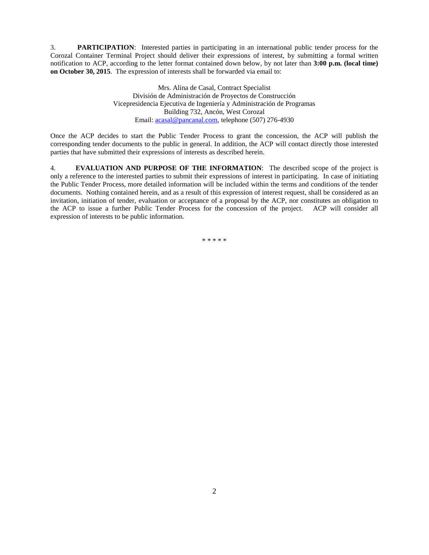3. **PARTICIPATION**: Interested parties in participating in an international public tender process for the Corozal Container Terminal Project should deliver their expressions of interest, by submitting a formal written notification to ACP, according to the letter format contained down below, by not later than **3:00 p.m. (local time) on October 30, 2015**. The expression of interests shall be forwarded via email to:

> Mrs. Alina de Casal, Contract Specialist División de Administración de Proyectos de Construcción Vicepresidencia Ejecutiva de Ingeniería y Administración de Programas Building 732, Ancón, West Corozal Email[: acasal@pancanal.com,](mailto:acasal@pancanal.com) telephone (507) 276-4930

Once the ACP decides to start the Public Tender Process to grant the concession, the ACP will publish the corresponding tender documents to the public in general. In addition, the ACP will contact directly those interested parties that have submitted their expressions of interests as described herein.

4. **EVALUATION AND PURPOSE OF THE INFORMATION**: The described scope of the project is only a reference to the interested parties to submit their expressions of interest in participating. In case of initiating the Public Tender Process, more detailed information will be included within the terms and conditions of the tender documents. Nothing contained herein, and as a result of this expression of interest request, shall be considered as an invitation, initiation of tender, evaluation or acceptance of a proposal by the ACP, nor constitutes an obligation to the ACP to issue a further Public Tender Process for the concession of the project. ACP will consider all expression of interests to be public information.

\* \* \* \* \*